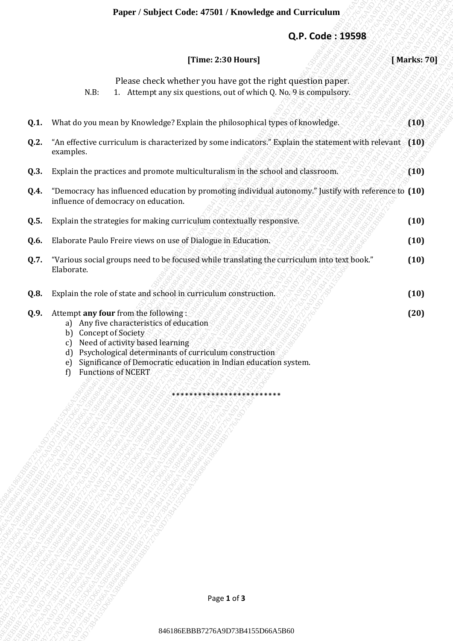#### **Paper / Subject Code: 47501 / Knowledge and Curriculum**

#### **Q.P. Code : 19598**

|      |                                                                                                                                                                                                          | Paper / Subject Code: 47501 / Knowledge and Curriculum                                                                            |      |             |
|------|----------------------------------------------------------------------------------------------------------------------------------------------------------------------------------------------------------|-----------------------------------------------------------------------------------------------------------------------------------|------|-------------|
|      |                                                                                                                                                                                                          | Q.P. Code: 19598                                                                                                                  |      |             |
|      |                                                                                                                                                                                                          | [Time: 2:30 Hours]                                                                                                                |      | [Marks: 70] |
|      | N.B:                                                                                                                                                                                                     | Please check whether you have got the right question paper.<br>1. Attempt any six questions, out of which Q. No. 9 is compulsory. |      |             |
| Q.1. |                                                                                                                                                                                                          | What do you mean by Knowledge? Explain the philosophical types of knowledge.                                                      |      | (10)        |
| Q.2. | "An effective curriculum is characterized by some indicators." Explain the statement with relevant (10)<br>examples.                                                                                     |                                                                                                                                   |      |             |
| Q.3. | Explain the practices and promote multiculturalism in the school and classroom.                                                                                                                          |                                                                                                                                   | (10) |             |
| Q.4. | "Democracy has influenced education by promoting individual autonomy." Justify with reference to (10)<br>influence of democracy on education.                                                            |                                                                                                                                   |      |             |
| Q.5. | Explain the strategies for making curriculum contextually responsive.                                                                                                                                    |                                                                                                                                   |      | (10)        |
| Q.6. | Elaborate Paulo Freire views on use of Dialogue in Education.                                                                                                                                            |                                                                                                                                   |      | (10)        |
| Q.7. | "Various social groups need to be focused while translating the curriculum into text book."<br>Elaborate.                                                                                                |                                                                                                                                   | (10) |             |
| Q.8. | Explain the role of state and school in curriculum construction.                                                                                                                                         |                                                                                                                                   | (10) |             |
| Q.9. | Attempt any four from the following:<br>a) Any five characteristics of education<br>b) Concept of Society<br>c) Need of activity based learning<br>$\mathbf{d}$<br>e)<br><b>Functions of NCERT</b><br>f) | Psychological determinants of curriculum construction<br>Significance of Democratic education in Indian education system.         |      | (20)        |
|      |                                                                                                                                                                                                          |                                                                                                                                   |      |             |
|      |                                                                                                                                                                                                          |                                                                                                                                   |      |             |
|      |                                                                                                                                                                                                          |                                                                                                                                   |      |             |
|      |                                                                                                                                                                                                          |                                                                                                                                   |      |             |
|      |                                                                                                                                                                                                          |                                                                                                                                   |      |             |
|      |                                                                                                                                                                                                          |                                                                                                                                   |      |             |
|      |                                                                                                                                                                                                          |                                                                                                                                   |      |             |
|      |                                                                                                                                                                                                          |                                                                                                                                   |      |             |
|      |                                                                                                                                                                                                          |                                                                                                                                   |      |             |
|      |                                                                                                                                                                                                          | Page 1 of 3                                                                                                                       |      |             |
|      |                                                                                                                                                                                                          |                                                                                                                                   |      |             |
|      |                                                                                                                                                                                                          | 846186EBBB7276A9D73B4155D66A5B60                                                                                                  |      |             |

- e) Significance of Democratic education in Indian education system.
- f) Functions of NCERT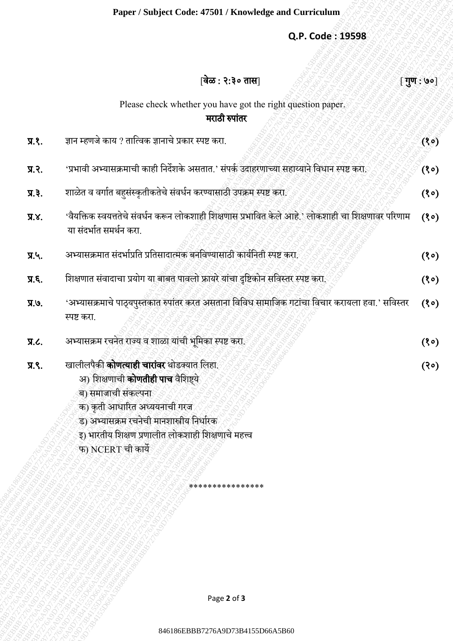## **Q.P. Code : 19598**

|                | Paper / Subject Code: 47501 / Knowledge and Curriculum                                                                                                                                                                                                                                                |                   |
|----------------|-------------------------------------------------------------------------------------------------------------------------------------------------------------------------------------------------------------------------------------------------------------------------------------------------------|-------------------|
|                | Q.P. Code: 19598                                                                                                                                                                                                                                                                                      |                   |
|                |                                                                                                                                                                                                                                                                                                       |                   |
|                | वेळ : २:३० तास                                                                                                                                                                                                                                                                                        | $[\,\,$ गुण : ७०] |
|                | Please check whether you have got the right question paper.<br>मराठी रुपांतर                                                                                                                                                                                                                          |                   |
| $\Pi$ .        | ज्ञान म्हणजे काय ? तात्विक ज्ञानाचे प्रकार स्पष्ट करा.                                                                                                                                                                                                                                                | (30)              |
| प्र.२.         | 'प्रभावी अभ्यासक्रमाची काही निर्देशके असतात.' संपर्क उदाहरणाच्या सहाय्याने विधान स्पष्ट करा.                                                                                                                                                                                                          | (30)              |
| $\Pi$ , $\S$ . | शाळेत व वर्गात बहुसंस्कृतीकतेचे संवर्धन करण्यासाठी उपक्रम स्पष्ट करा.                                                                                                                                                                                                                                 |                   |
| $X.X$ .        | 'वैयक्तिक स्वयत्ततेचे संवर्धन करून लोकशाही शिक्षणास प्रभावित केले आहे.' लोकशाही चा शिक्षणावर परिणाम<br>या संदर्भात समर्थन करा.                                                                                                                                                                        |                   |
| प्र.५.         | अभ्यासक्रमात संदर्भाप्रति प्रतिसादात्मक बनविण्यासाठी कार्यनिती स्पष्ट करा.                                                                                                                                                                                                                            | (30)              |
| Лξ.            | शिक्षणात संवादाचा प्रयोग या बाबत पावलो फ्रायरे यांचा दृष्टिकोन सविस्तर स्पष्ट करा.                                                                                                                                                                                                                    | (30)              |
| प्र.७.         | 'अभ्यासक्रमाचे पाठ्यपुस्तकात रुपांतर करत असताना विविध सामाजिक गटांचा विचार करायला हवा.' सविस्तर<br>स्पष्ट करा.                                                                                                                                                                                        | (30)              |
| Д.             | अभ्यासक्रम रचनेत राज्य व शाळा यांची भूमिका स्पष्ट करा.                                                                                                                                                                                                                                                | (30)              |
| प्र.९.         | खालीलपैकी <b>कोणत्याही चारांवर</b> थोडक्यात लिहा.<br>अ) शिक्षणाची <b>कोणतीही पाच</b> वैशिष्ट्ये<br>ब) समाजाची संकल्पना<br>क) कृती आधारित अध्ययनाची गरज<br>ड) अभ्यासक्रम रचनेची मानशास्त्रीय निर्धारक<br>इ) भारतीय शिक्षण प्रणालीत लोकशाही शिक्षणाचे महत्त्व<br>फ) NCERT ची कार्ये<br>**************** | (30)              |
|                |                                                                                                                                                                                                                                                                                                       |                   |
|                | Page 2 of 3                                                                                                                                                                                                                                                                                           |                   |
|                | 846186EBBB7276A9D73B4155D66A5B60                                                                                                                                                                                                                                                                      |                   |